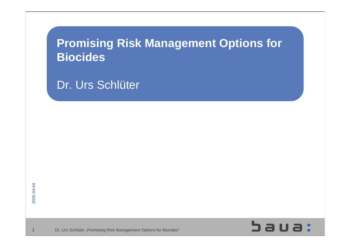# **Promising Risk Management Options for Biocides**

Dr. Urs Schlüter

1



Dr. Urs Schlüter "Promising Risk Management Options for Biocides"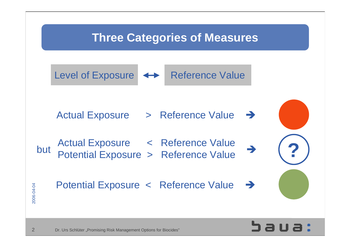## **Three Categories of Measures**

Level of Exposure <>>
Reference Value

Actual Exposure > Reference Value

 $but$  Detection Europeent Defenses Melus Actual Exposure < Reference Value<br>Potential Exposure > Reference Value

Potential Exposure < Reference Value →





2006-04-04

2006-04-04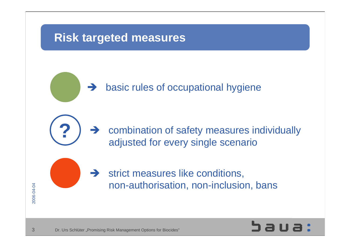

 $\rightarrow$  basic rules of occupational hygiene

 $\rightarrow$  combination of safety measures individually adjusted for every single scenario





3

2006-04-04

2006-04-04

**?**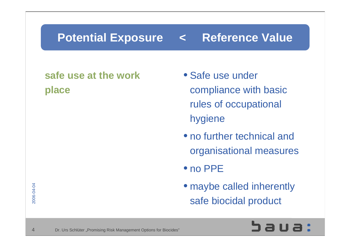# **Potential Exposure < Reference Value**

#### **safe use at the workplace**

- Safe use under compliance with basic rules of occupational hygiene
- no further technical and organisational measures
- no PPE
- maybe called inherently safe biocidal product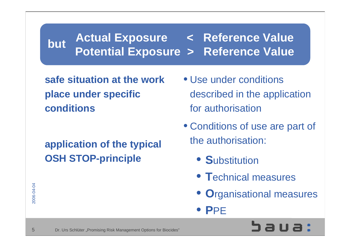#### **Actual Exposure < Reference Value Potential Exposure > Reference Value but**

**safe situation at the workplace under specific conditions**

## **application of the typical OSH STOP-principle**

- Use under conditionsdescribed in the application for authorisation
- Conditions of use are part of the authorisation:
	- **S**ubstitution
	- **T**echnical measures
	- **O**rganisational measures
	- **P**PE

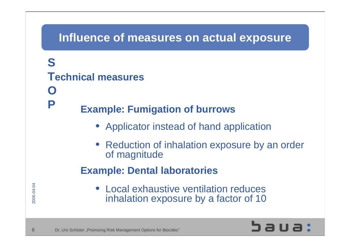#### **Influence of measures on actual exposure**

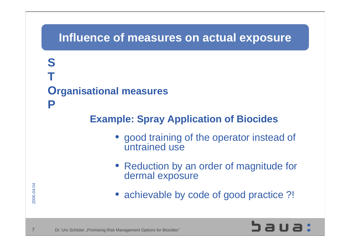#### **Influence of measures on actual exposure**

# **STOrganisational measures**

#### **Example: Spray Application of Biocides**

- good training of the operator instead of untrained use
- Reduction by an order of magnitude for dermal exposure
- achievable by code of good practice ?!



**P**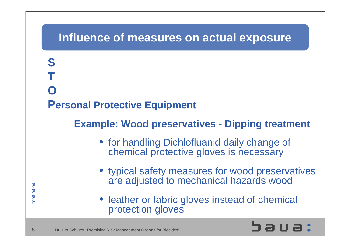#### **Influence of measures on actual exposure**



#### **Example: Wood preservatives - Dipping treatment**

- for handling Dichlofluanid daily change of chemical protective gloves is necessary
- typical safety measures for wood preservatives are adjusted to mechanical hazards wood
- leather or fabric gloves instead of chemical protection gloves



**S**

**T**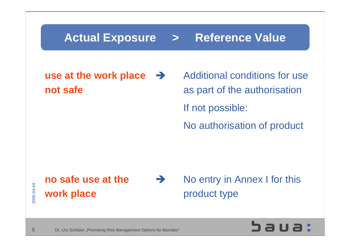## **Actual Exposure > Reference Value**

#### **use at the work place not safe**

Additional conditions for useas part of the authorisation If not possible: No authorisation of product

#### **no safe use at thework place**

No entry in Annex I for this product type



2006-04-04

2006-04-04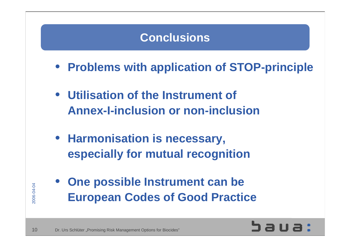## **Conclusions**

- **Problems with application of STOP-principle**
- **Utilisation of the Instrument of Annex-I-inclusion or non-inclusion**
- **Harmonisation is necessary, especially for mutual recognition**
- **One possible Instrument can be European Codes of Good Practice**

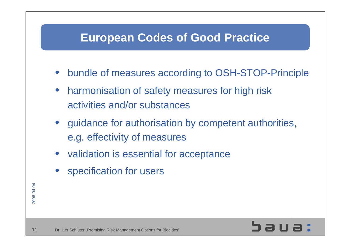## **European Codes of Good Practice**

- bundle of measures according to OSH-STOP-Principle
- harmonisation of safety measures for high risk activities and/or substances
- guidance for authorisation by competent authorities, e.g. effectivity of measures
- validation is essential for acceptance
- specification for users